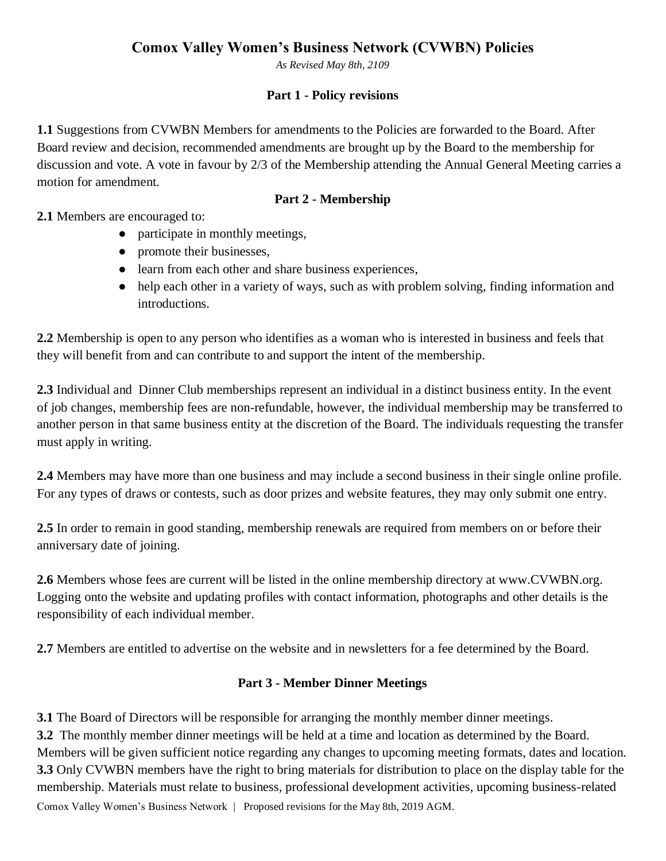*As Revised May 8th, 2109*

#### **Part 1 - Policy revisions**

**1.1** Suggestions from CVWBN Members for amendments to the Policies are forwarded to the Board. After Board review and decision, recommended amendments are brought up by the Board to the membership for discussion and vote. A vote in favour by 2/3 of the Membership attending the Annual General Meeting carries a motion for amendment.

## **Part 2 - Membership**

**2.1** Members are encouraged to:

- participate in monthly meetings,
- promote their businesses,
- learn from each other and share business experiences,
- help each other in a variety of ways, such as with problem solving, finding information and introductions.

**2.2** Membership is open to any person who identifies as a woman who is interested in business and feels that they will benefit from and can contribute to and support the intent of the membership.

**2.3** Individual and Dinner Club memberships represent an individual in a distinct business entity. In the event of job changes, membership fees are non-refundable, however, the individual membership may be transferred to another person in that same business entity at the discretion of the Board. The individuals requesting the transfer must apply in writing.

**2.4** Members may have more than one business and may include a second business in their single online profile. For any types of draws or contests, such as door prizes and website features, they may only submit one entry.

**2.5** In order to remain in good standing, membership renewals are required from members on or before their anniversary date of joining.

**2.6** Members whose fees are current will be listed in the online membership directory at www.CVWBN.org. Logging onto the website and updating profiles with contact information, photographs and other details is the responsibility of each individual member.

**2.7** Members are entitled to advertise on the website and in newsletters for a fee determined by the Board.

#### **Part 3 - Member Dinner Meetings**

Comox Valley Women's Business Network | Proposed revisions for the May 8th, 2019 AGM. **3.1** The Board of Directors will be responsible for arranging the monthly member dinner meetings. **3.2** The monthly member dinner meetings will be held at a time and location as determined by the Board. Members will be given sufficient notice regarding any changes to upcoming meeting formats, dates and location. **3.3** Only CVWBN members have the right to bring materials for distribution to place on the display table for the membership. Materials must relate to business, professional development activities, upcoming business-related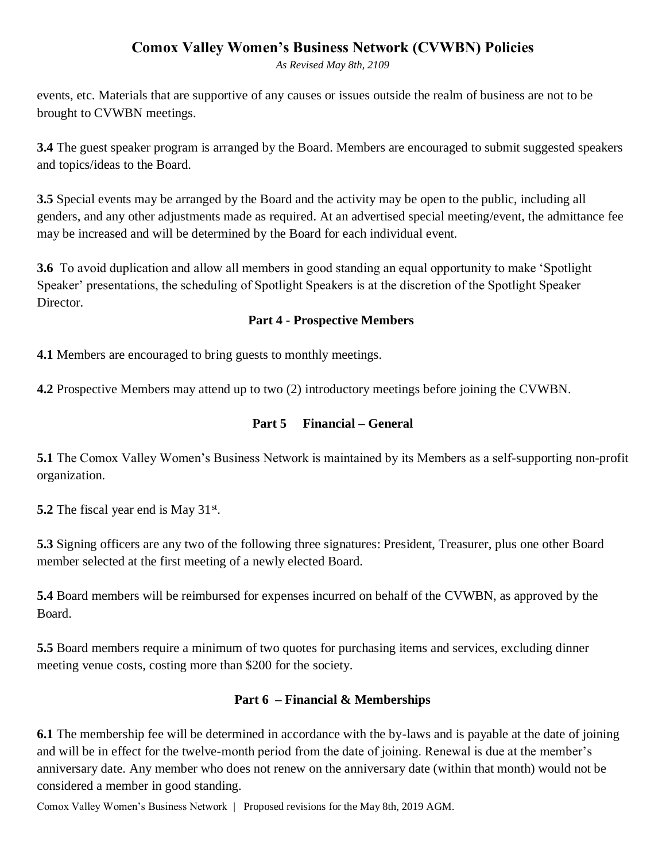*As Revised May 8th, 2109*

events, etc. Materials that are supportive of any causes or issues outside the realm of business are not to be brought to CVWBN meetings.

**3.4** The guest speaker program is arranged by the Board. Members are encouraged to submit suggested speakers and topics/ideas to the Board.

**3.5** Special events may be arranged by the Board and the activity may be open to the public, including all genders, and any other adjustments made as required. At an advertised special meeting/event, the admittance fee may be increased and will be determined by the Board for each individual event.

**3.6** To avoid duplication and allow all members in good standing an equal opportunity to make 'Spotlight Speaker' presentations, the scheduling of Spotlight Speakers is at the discretion of the Spotlight Speaker Director.

#### **Part 4 - Prospective Members**

**4.1** Members are encouraged to bring guests to monthly meetings.

**4.2** Prospective Members may attend up to two (2) introductory meetings before joining the CVWBN.

### **Part 5 Financial – General**

**5.1** The Comox Valley Women's Business Network is maintained by its Members as a self-supporting non-profit organization.

**5.2** The fiscal year end is May 31<sup>st</sup>.

**5.3** Signing officers are any two of the following three signatures: President, Treasurer, plus one other Board member selected at the first meeting of a newly elected Board.

**5.4** Board members will be reimbursed for expenses incurred on behalf of the CVWBN, as approved by the Board.

**5.5** Board members require a minimum of two quotes for purchasing items and services, excluding dinner meeting venue costs, costing more than \$200 for the society.

#### **Part 6 – Financial & Memberships**

**6.1** The membership fee will be determined in accordance with the by-laws and is payable at the date of joining and will be in effect for the twelve-month period from the date of joining. Renewal is due at the member's anniversary date. Any member who does not renew on the anniversary date (within that month) would not be considered a member in good standing.

Comox Valley Women's Business Network | Proposed revisions for the May 8th, 2019 AGM.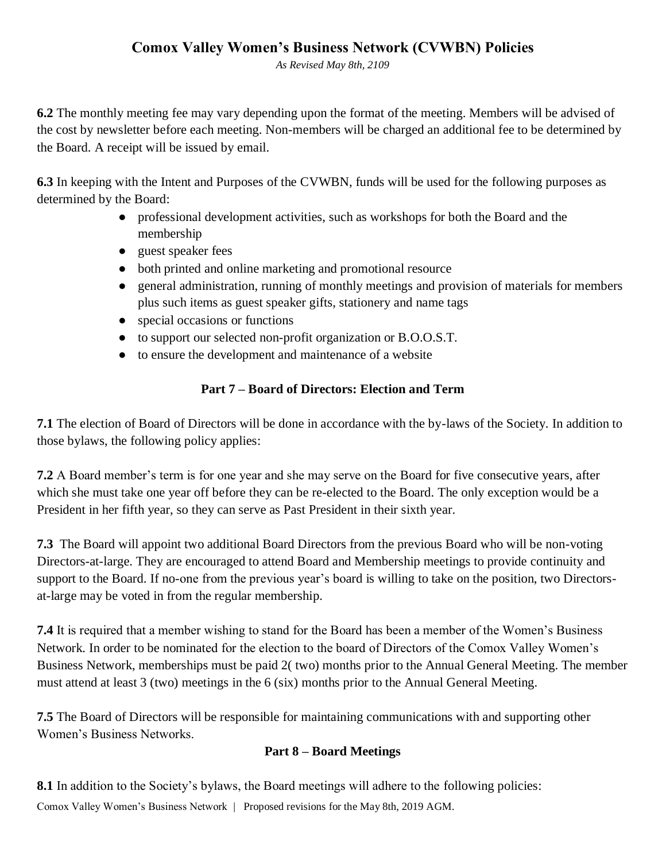*As Revised May 8th, 2109*

**6.2** The monthly meeting fee may vary depending upon the format of the meeting. Members will be advised of the cost by newsletter before each meeting. Non-members will be charged an additional fee to be determined by the Board. A receipt will be issued by email.

**6.3** In keeping with the Intent and Purposes of the CVWBN, funds will be used for the following purposes as determined by the Board:

- professional development activities, such as workshops for both the Board and the membership
- guest speaker fees
- both printed and online marketing and promotional resource
- general administration, running of monthly meetings and provision of materials for members plus such items as guest speaker gifts, stationery and name tags
- special occasions or functions
- to support our selected non-profit organization or B.O.O.S.T.
- to ensure the development and maintenance of a website

## **Part 7 – Board of Directors: Election and Term**

**7.1** The election of Board of Directors will be done in accordance with the by-laws of the Society. In addition to those bylaws, the following policy applies:

**7.2** A Board member's term is for one year and she may serve on the Board for five consecutive years, after which she must take one year off before they can be re-elected to the Board. The only exception would be a President in her fifth year, so they can serve as Past President in their sixth year.

**7.3** The Board will appoint two additional Board Directors from the previous Board who will be non-voting Directors-at-large. They are encouraged to attend Board and Membership meetings to provide continuity and support to the Board. If no-one from the previous year's board is willing to take on the position, two Directorsat-large may be voted in from the regular membership.

**7.4** It is required that a member wishing to stand for the Board has been a member of the Women's Business Network. In order to be nominated for the election to the board of Directors of the Comox Valley Women's Business Network, memberships must be paid 2( two) months prior to the Annual General Meeting. The member must attend at least 3 (two) meetings in the 6 (six) months prior to the Annual General Meeting.

**7.5** The Board of Directors will be responsible for maintaining communications with and supporting other Women's Business Networks.

#### **Part 8 – Board Meetings**

Comox Valley Women's Business Network | Proposed revisions for the May 8th, 2019 AGM. **8.1** In addition to the Society's bylaws, the Board meetings will adhere to the following policies: